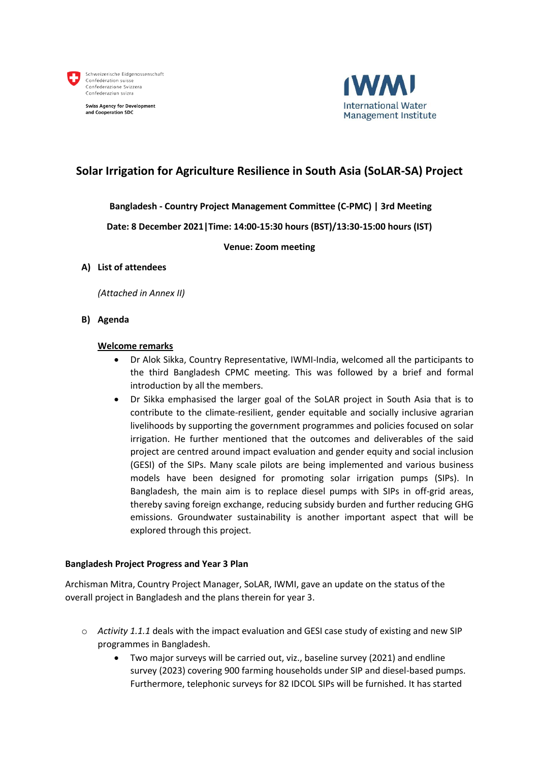

**Swiss Agency for Development** and Cooperation SDC



## **Solar Irrigation for Agriculture Resilience in South Asia (SoLAR-SA) Project**

#### **Bangladesh - Country Project Management Committee (C-PMC) | 3rd Meeting**

**Date: 8 December 2021|Time: 14:00-15:30 hours (BST)/13:30-15:00 hours (IST)**

**Venue: Zoom meeting**

#### **A) List of attendees**

*(Attached in Annex II)*

**B) Agenda**

#### **Welcome remarks**

- Dr Alok Sikka, Country Representative, IWMI-India, welcomed all the participants to the third Bangladesh CPMC meeting. This was followed by a brief and formal introduction by all the members.
- Dr Sikka emphasised the larger goal of the SoLAR project in South Asia that is to contribute to the climate-resilient, gender equitable and socially inclusive agrarian livelihoods by supporting the government programmes and policies focused on solar irrigation. He further mentioned that the outcomes and deliverables of the said project are centred around impact evaluation and gender equity and social inclusion (GESI) of the SIPs. Many scale pilots are being implemented and various business models have been designed for promoting solar irrigation pumps (SIPs). In Bangladesh, the main aim is to replace diesel pumps with SIPs in off-grid areas, thereby saving foreign exchange, reducing subsidy burden and further reducing GHG emissions. Groundwater sustainability is another important aspect that will be explored through this project.

#### **Bangladesh Project Progress and Year 3 Plan**

Archisman Mitra, Country Project Manager, SoLAR, IWMI, gave an update on the status of the overall project in Bangladesh and the plans therein for year 3.

- o *Activity 1.1.1* deals with the impact evaluation and GESI case study of existing and new SIP programmes in Bangladesh.
	- Two major surveys will be carried out, viz., baseline survey (2021) and endline survey (2023) covering 900 farming households under SIP and diesel-based pumps. Furthermore, telephonic surveys for 82 IDCOL SIPs will be furnished. It has started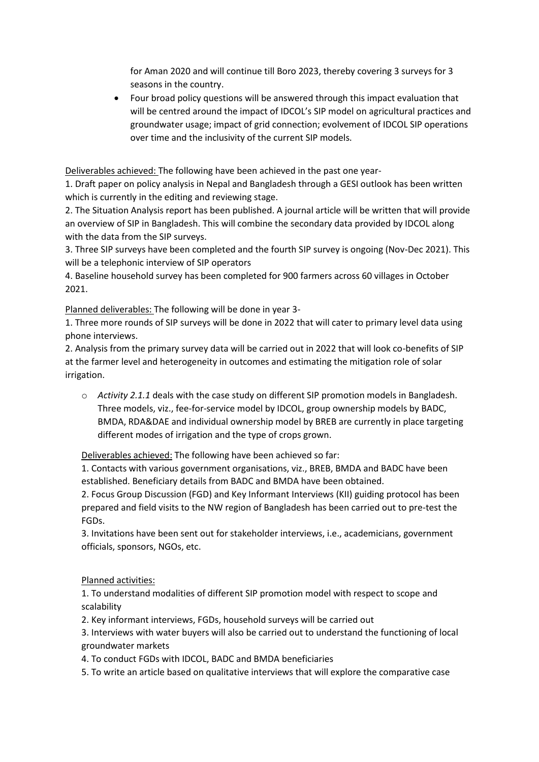for Aman 2020 and will continue till Boro 2023, thereby covering 3 surveys for 3 seasons in the country.

• Four broad policy questions will be answered through this impact evaluation that will be centred around the impact of IDCOL's SIP model on agricultural practices and groundwater usage; impact of grid connection; evolvement of IDCOL SIP operations over time and the inclusivity of the current SIP models.

Deliverables achieved: The following have been achieved in the past one year-

1. Draft paper on policy analysis in Nepal and Bangladesh through a GESI outlook has been written which is currently in the editing and reviewing stage.

2. The Situation Analysis report has been published. A journal article will be written that will provide an overview of SIP in Bangladesh. This will combine the secondary data provided by IDCOL along with the data from the SIP surveys.

3. Three SIP surveys have been completed and the fourth SIP survey is ongoing (Nov-Dec 2021). This will be a telephonic interview of SIP operators

4. Baseline household survey has been completed for 900 farmers across 60 villages in October 2021.

Planned deliverables: The following will be done in year 3-

1. Three more rounds of SIP surveys will be done in 2022 that will cater to primary level data using phone interviews.

2. Analysis from the primary survey data will be carried out in 2022 that will look co-benefits of SIP at the farmer level and heterogeneity in outcomes and estimating the mitigation role of solar irrigation.

o *Activity 2.1.1* deals with the case study on different SIP promotion models in Bangladesh. Three models, viz., fee-for-service model by IDCOL, group ownership models by BADC, BMDA, RDA&DAE and individual ownership model by BREB are currently in place targeting different modes of irrigation and the type of crops grown.

Deliverables achieved: The following have been achieved so far:

1. Contacts with various government organisations, viz., BREB, BMDA and BADC have been established. Beneficiary details from BADC and BMDA have been obtained.

2. Focus Group Discussion (FGD) and Key Informant Interviews (KII) guiding protocol has been prepared and field visits to the NW region of Bangladesh has been carried out to pre-test the FGDs.

3. Invitations have been sent out for stakeholder interviews, i.e., academicians, government officials, sponsors, NGOs, etc.

Planned activities:

1. To understand modalities of different SIP promotion model with respect to scope and scalability

2. Key informant interviews, FGDs, household surveys will be carried out

3. Interviews with water buyers will also be carried out to understand the functioning of local groundwater markets

4. To conduct FGDs with IDCOL, BADC and BMDA beneficiaries

5. To write an article based on qualitative interviews that will explore the comparative case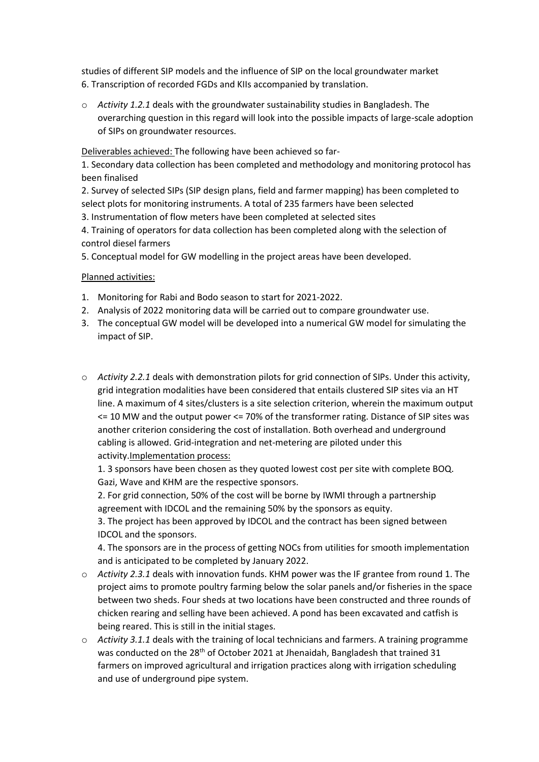studies of different SIP models and the influence of SIP on the local groundwater market 6. Transcription of recorded FGDs and KIIs accompanied by translation.

o *Activity 1.2.1* deals with the groundwater sustainability studies in Bangladesh. The overarching question in this regard will look into the possible impacts of large-scale adoption of SIPs on groundwater resources.

Deliverables achieved: The following have been achieved so far-

1. Secondary data collection has been completed and methodology and monitoring protocol has been finalised

2. Survey of selected SIPs (SIP design plans, field and farmer mapping) has been completed to select plots for monitoring instruments. A total of 235 farmers have been selected

3. Instrumentation of flow meters have been completed at selected sites

4. Training of operators for data collection has been completed along with the selection of control diesel farmers

5. Conceptual model for GW modelling in the project areas have been developed.

#### Planned activities:

- 1. Monitoring for Rabi and Bodo season to start for 2021-2022.
- 2. Analysis of 2022 monitoring data will be carried out to compare groundwater use.
- 3. The conceptual GW model will be developed into a numerical GW model for simulating the impact of SIP.
- o *Activity 2.2.1* deals with demonstration pilots for grid connection of SIPs. Under this activity, grid integration modalities have been considered that entails clustered SIP sites via an HT line. A maximum of 4 sites/clusters is a site selection criterion, wherein the maximum output <= 10 MW and the output power <= 70% of the transformer rating. Distance of SIP sites was another criterion considering the cost of installation. Both overhead and underground cabling is allowed. Grid-integration and net-metering are piloted under this activity.Implementation process:

1. 3 sponsors have been chosen as they quoted lowest cost per site with complete BOQ. Gazi, Wave and KHM are the respective sponsors.

2. For grid connection, 50% of the cost will be borne by IWMI through a partnership agreement with IDCOL and the remaining 50% by the sponsors as equity.

3. The project has been approved by IDCOL and the contract has been signed between IDCOL and the sponsors.

4. The sponsors are in the process of getting NOCs from utilities for smooth implementation and is anticipated to be completed by January 2022.

- o *Activity 2.3.1* deals with innovation funds. KHM power was the IF grantee from round 1. The project aims to promote poultry farming below the solar panels and/or fisheries in the space between two sheds. Four sheds at two locations have been constructed and three rounds of chicken rearing and selling have been achieved. A pond has been excavated and catfish is being reared. This is still in the initial stages.
- o *Activity 3.1.1* deals with the training of local technicians and farmers. A training programme was conducted on the 28<sup>th</sup> of October 2021 at Jhenaidah, Bangladesh that trained 31 farmers on improved agricultural and irrigation practices along with irrigation scheduling and use of underground pipe system.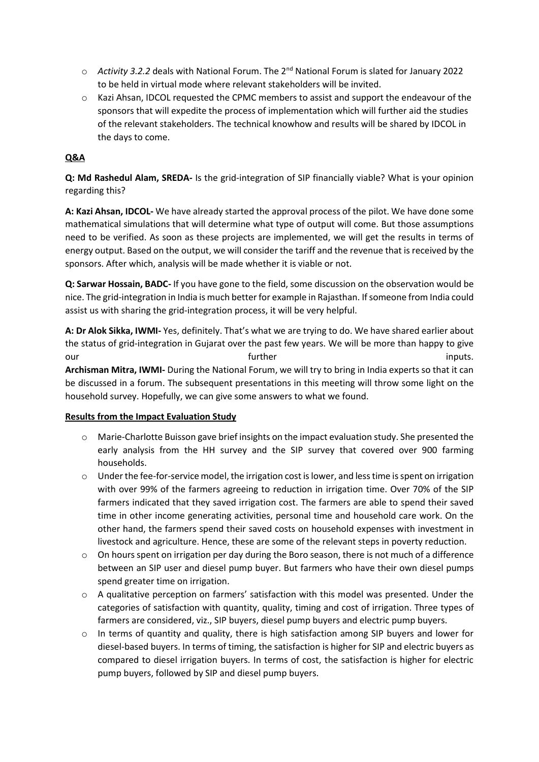- o *Activity 3.2.2* deals with National Forum. The 2nd National Forum is slated for January 2022 to be held in virtual mode where relevant stakeholders will be invited.
- $\circ$  Kazi Ahsan, IDCOL requested the CPMC members to assist and support the endeavour of the sponsors that will expedite the process of implementation which will further aid the studies of the relevant stakeholders. The technical knowhow and results will be shared by IDCOL in the days to come.

### **Q&A**

**Q: Md Rashedul Alam, SREDA-** Is the grid-integration of SIP financially viable? What is your opinion regarding this?

**A: Kazi Ahsan, IDCOL-** We have already started the approval process of the pilot. We have done some mathematical simulations that will determine what type of output will come. But those assumptions need to be verified. As soon as these projects are implemented, we will get the results in terms of energy output. Based on the output, we will consider the tariff and the revenue that is received by the sponsors. After which, analysis will be made whether it is viable or not.

**Q: Sarwar Hossain, BADC-** If you have gone to the field, some discussion on the observation would be nice. The grid-integration in India is much better for example in Rajasthan. If someone from India could assist us with sharing the grid-integration process, it will be very helpful.

**A: Dr Alok Sikka, IWMI-** Yes, definitely. That's what we are trying to do. We have shared earlier about the status of grid-integration in Gujarat over the past few years. We will be more than happy to give our inputs. The set of the set of the set of the set of the set of the set of the set of the set of the set of the set of the set of the set of the set of the set of the set of the set of the set of the set of the set of t **Archisman Mitra, IWMI-** During the National Forum, we will try to bring in India experts so that it can be discussed in a forum. The subsequent presentations in this meeting will throw some light on the household survey. Hopefully, we can give some answers to what we found.

#### **Results from the Impact Evaluation Study**

- o Marie-Charlotte Buisson gave brief insights on the impact evaluation study. She presented the early analysis from the HH survey and the SIP survey that covered over 900 farming households.
- $\circ$  Under the fee-for-service model, the irrigation cost is lower, and less time is spent on irrigation with over 99% of the farmers agreeing to reduction in irrigation time. Over 70% of the SIP farmers indicated that they saved irrigation cost. The farmers are able to spend their saved time in other income generating activities, personal time and household care work. On the other hand, the farmers spend their saved costs on household expenses with investment in livestock and agriculture. Hence, these are some of the relevant steps in poverty reduction.
- $\circ$  On hours spent on irrigation per day during the Boro season, there is not much of a difference between an SIP user and diesel pump buyer. But farmers who have their own diesel pumps spend greater time on irrigation.
- o A qualitative perception on farmers' satisfaction with this model was presented. Under the categories of satisfaction with quantity, quality, timing and cost of irrigation. Three types of farmers are considered, viz., SIP buyers, diesel pump buyers and electric pump buyers.
- $\circ$  In terms of quantity and quality, there is high satisfaction among SIP buyers and lower for diesel-based buyers. In terms of timing, the satisfaction is higher for SIP and electric buyers as compared to diesel irrigation buyers. In terms of cost, the satisfaction is higher for electric pump buyers, followed by SIP and diesel pump buyers.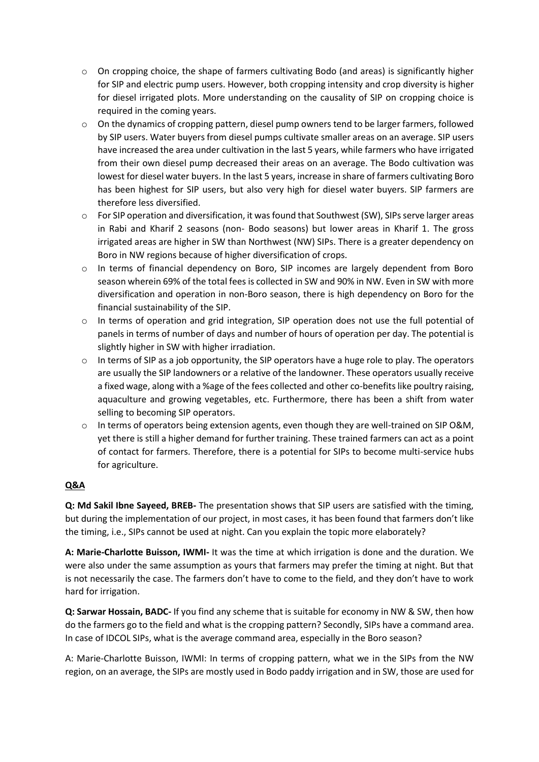- $\circ$  On cropping choice, the shape of farmers cultivating Bodo (and areas) is significantly higher for SIP and electric pump users. However, both cropping intensity and crop diversity is higher for diesel irrigated plots. More understanding on the causality of SIP on cropping choice is required in the coming years.
- o On the dynamics of cropping pattern, diesel pump owners tend to be larger farmers, followed by SIP users. Water buyers from diesel pumps cultivate smaller areas on an average. SIP users have increased the area under cultivation in the last 5 years, while farmers who have irrigated from their own diesel pump decreased their areas on an average. The Bodo cultivation was lowest for diesel water buyers. In the last 5 years, increase in share of farmers cultivating Boro has been highest for SIP users, but also very high for diesel water buyers. SIP farmers are therefore less diversified.
- $\circ$  For SIP operation and diversification, it was found that Southwest (SW), SIPs serve larger areas in Rabi and Kharif 2 seasons (non- Bodo seasons) but lower areas in Kharif 1. The gross irrigated areas are higher in SW than Northwest (NW) SIPs. There is a greater dependency on Boro in NW regions because of higher diversification of crops.
- $\circ$  In terms of financial dependency on Boro, SIP incomes are largely dependent from Boro season wherein 69% of the total fees is collected in SW and 90% in NW. Even in SW with more diversification and operation in non-Boro season, there is high dependency on Boro for the financial sustainability of the SIP.
- o In terms of operation and grid integration, SIP operation does not use the full potential of panels in terms of number of days and number of hours of operation per day. The potential is slightly higher in SW with higher irradiation.
- $\circ$  In terms of SIP as a job opportunity, the SIP operators have a huge role to play. The operators are usually the SIP landowners or a relative of the landowner. These operators usually receive a fixed wage, along with a %age of the fees collected and other co-benefits like poultry raising, aquaculture and growing vegetables, etc. Furthermore, there has been a shift from water selling to becoming SIP operators.
- $\circ$  In terms of operators being extension agents, even though they are well-trained on SIP O&M, yet there is still a higher demand for further training. These trained farmers can act as a point of contact for farmers. Therefore, there is a potential for SIPs to become multi-service hubs for agriculture.

## **Q&A**

**Q: Md Sakil Ibne Sayeed, BREB-** The presentation shows that SIP users are satisfied with the timing, but during the implementation of our project, in most cases, it has been found that farmers don't like the timing, i.e., SIPs cannot be used at night. Can you explain the topic more elaborately?

**A: Marie-Charlotte Buisson, IWMI-** It was the time at which irrigation is done and the duration. We were also under the same assumption as yours that farmers may prefer the timing at night. But that is not necessarily the case. The farmers don't have to come to the field, and they don't have to work hard for irrigation.

**Q: Sarwar Hossain, BADC-** If you find any scheme that is suitable for economy in NW & SW, then how do the farmers go to the field and what is the cropping pattern? Secondly, SIPs have a command area. In case of IDCOL SIPs, what is the average command area, especially in the Boro season?

A: Marie-Charlotte Buisson, IWMI: In terms of cropping pattern, what we in the SIPs from the NW region, on an average, the SIPs are mostly used in Bodo paddy irrigation and in SW, those are used for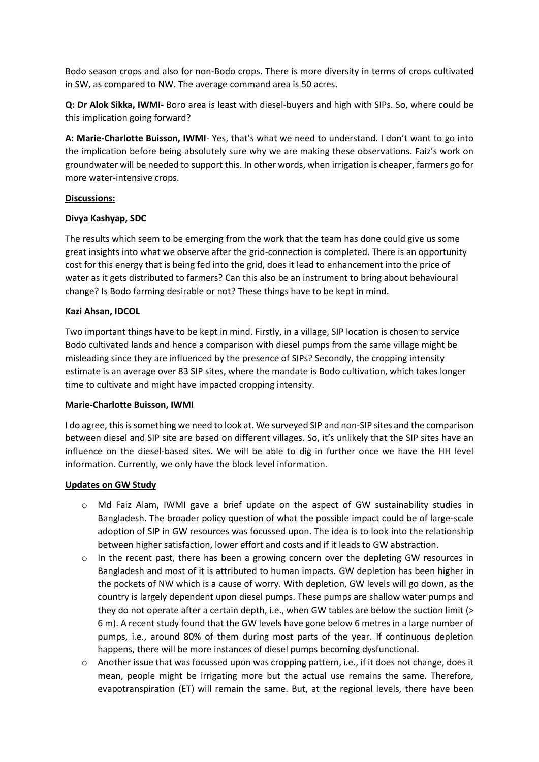Bodo season crops and also for non-Bodo crops. There is more diversity in terms of crops cultivated in SW, as compared to NW. The average command area is 50 acres.

**Q: Dr Alok Sikka, IWMI-** Boro area is least with diesel-buyers and high with SIPs. So, where could be this implication going forward?

**A: Marie-Charlotte Buisson, IWMI**- Yes, that's what we need to understand. I don't want to go into the implication before being absolutely sure why we are making these observations. Faiz's work on groundwater will be needed to support this. In other words, when irrigation is cheaper, farmers go for more water-intensive crops.

#### **Discussions:**

#### **Divya Kashyap, SDC**

The results which seem to be emerging from the work that the team has done could give us some great insights into what we observe after the grid-connection is completed. There is an opportunity cost for this energy that is being fed into the grid, does it lead to enhancement into the price of water as it gets distributed to farmers? Can this also be an instrument to bring about behavioural change? Is Bodo farming desirable or not? These things have to be kept in mind.

#### **Kazi Ahsan, IDCOL**

Two important things have to be kept in mind. Firstly, in a village, SIP location is chosen to service Bodo cultivated lands and hence a comparison with diesel pumps from the same village might be misleading since they are influenced by the presence of SIPs? Secondly, the cropping intensity estimate is an average over 83 SIP sites, where the mandate is Bodo cultivation, which takes longer time to cultivate and might have impacted cropping intensity.

#### **Marie-Charlotte Buisson, IWMI**

I do agree, this is something we need to look at. We surveyed SIP and non-SIP sites and the comparison between diesel and SIP site are based on different villages. So, it's unlikely that the SIP sites have an influence on the diesel-based sites. We will be able to dig in further once we have the HH level information. Currently, we only have the block level information.

#### **Updates on GW Study**

- o Md Faiz Alam, IWMI gave a brief update on the aspect of GW sustainability studies in Bangladesh. The broader policy question of what the possible impact could be of large-scale adoption of SIP in GW resources was focussed upon. The idea is to look into the relationship between higher satisfaction, lower effort and costs and if it leads to GW abstraction.
- $\circ$  In the recent past, there has been a growing concern over the depleting GW resources in Bangladesh and most of it is attributed to human impacts. GW depletion has been higher in the pockets of NW which is a cause of worry. With depletion, GW levels will go down, as the country is largely dependent upon diesel pumps. These pumps are shallow water pumps and they do not operate after a certain depth, i.e., when GW tables are below the suction limit (> 6 m). A recent study found that the GW levels have gone below 6 metres in a large number of pumps, i.e., around 80% of them during most parts of the year. If continuous depletion happens, there will be more instances of diesel pumps becoming dysfunctional.
- $\circ$  Another issue that was focussed upon was cropping pattern, i.e., if it does not change, does it mean, people might be irrigating more but the actual use remains the same. Therefore, evapotranspiration (ET) will remain the same. But, at the regional levels, there have been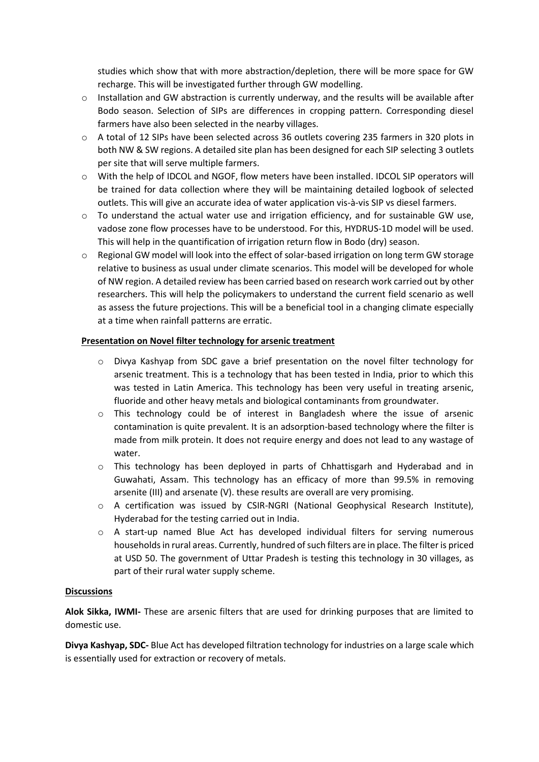studies which show that with more abstraction/depletion, there will be more space for GW recharge. This will be investigated further through GW modelling.

- $\circ$  Installation and GW abstraction is currently underway, and the results will be available after Bodo season. Selection of SIPs are differences in cropping pattern. Corresponding diesel farmers have also been selected in the nearby villages.
- o A total of 12 SIPs have been selected across 36 outlets covering 235 farmers in 320 plots in both NW & SW regions. A detailed site plan has been designed for each SIP selecting 3 outlets per site that will serve multiple farmers.
- o With the help of IDCOL and NGOF, flow meters have been installed. IDCOL SIP operators will be trained for data collection where they will be maintaining detailed logbook of selected outlets. This will give an accurate idea of water application vis-à-vis SIP vs diesel farmers.
- $\circ$  To understand the actual water use and irrigation efficiency, and for sustainable GW use, vadose zone flow processes have to be understood. For this, HYDRUS-1D model will be used. This will help in the quantification of irrigation return flow in Bodo (dry) season.
- o Regional GW model will look into the effect of solar-based irrigation on long term GW storage relative to business as usual under climate scenarios. This model will be developed for whole of NW region. A detailed review has been carried based on research work carried out by other researchers. This will help the policymakers to understand the current field scenario as well as assess the future projections. This will be a beneficial tool in a changing climate especially at a time when rainfall patterns are erratic.

#### **Presentation on Novel filter technology for arsenic treatment**

- o Divya Kashyap from SDC gave a brief presentation on the novel filter technology for arsenic treatment. This is a technology that has been tested in India, prior to which this was tested in Latin America. This technology has been very useful in treating arsenic, fluoride and other heavy metals and biological contaminants from groundwater.
- o This technology could be of interest in Bangladesh where the issue of arsenic contamination is quite prevalent. It is an adsorption-based technology where the filter is made from milk protein. It does not require energy and does not lead to any wastage of water.
- o This technology has been deployed in parts of Chhattisgarh and Hyderabad and in Guwahati, Assam. This technology has an efficacy of more than 99.5% in removing arsenite (III) and arsenate (V). these results are overall are very promising.
- o A certification was issued by CSIR-NGRI (National Geophysical Research Institute), Hyderabad for the testing carried out in India.
- $\circ$  A start-up named Blue Act has developed individual filters for serving numerous households in rural areas. Currently, hundred of such filters are in place. The filter is priced at USD 50. The government of Uttar Pradesh is testing this technology in 30 villages, as part of their rural water supply scheme.

#### **Discussions**

**Alok Sikka, IWMI-** These are arsenic filters that are used for drinking purposes that are limited to domestic use.

**Divya Kashyap, SDC-** Blue Act has developed filtration technology for industries on a large scale which is essentially used for extraction or recovery of metals.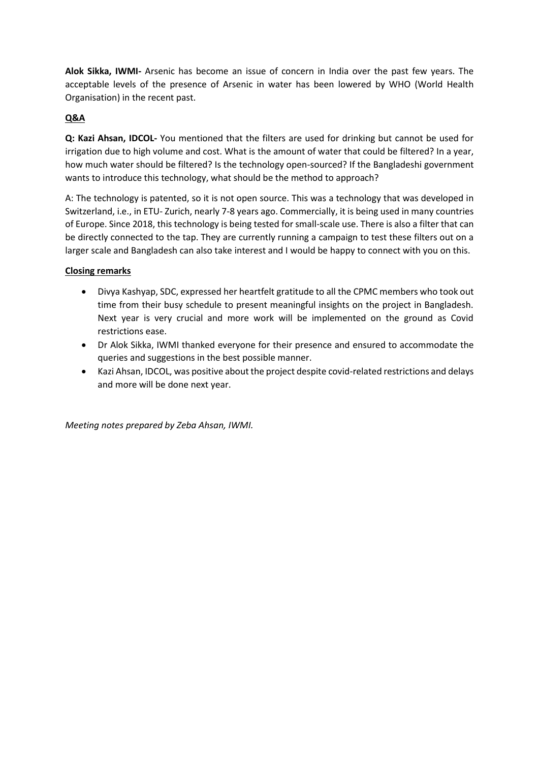**Alok Sikka, IWMI-** Arsenic has become an issue of concern in India over the past few years. The acceptable levels of the presence of Arsenic in water has been lowered by WHO (World Health Organisation) in the recent past.

### **Q&A**

**Q: Kazi Ahsan, IDCOL-** You mentioned that the filters are used for drinking but cannot be used for irrigation due to high volume and cost. What is the amount of water that could be filtered? In a year, how much water should be filtered? Is the technology open-sourced? If the Bangladeshi government wants to introduce this technology, what should be the method to approach?

A: The technology is patented, so it is not open source. This was a technology that was developed in Switzerland, i.e., in ETU- Zurich, nearly 7-8 years ago. Commercially, it is being used in many countries of Europe. Since 2018, this technology is being tested for small-scale use. There is also a filter that can be directly connected to the tap. They are currently running a campaign to test these filters out on a larger scale and Bangladesh can also take interest and I would be happy to connect with you on this.

#### **Closing remarks**

- Divya Kashyap, SDC, expressed her heartfelt gratitude to all the CPMC members who took out time from their busy schedule to present meaningful insights on the project in Bangladesh. Next year is very crucial and more work will be implemented on the ground as Covid restrictions ease.
- Dr Alok Sikka, IWMI thanked everyone for their presence and ensured to accommodate the queries and suggestions in the best possible manner.
- Kazi Ahsan, IDCOL, was positive about the project despite covid-related restrictions and delays and more will be done next year.

*Meeting notes prepared by Zeba Ahsan, IWMI.*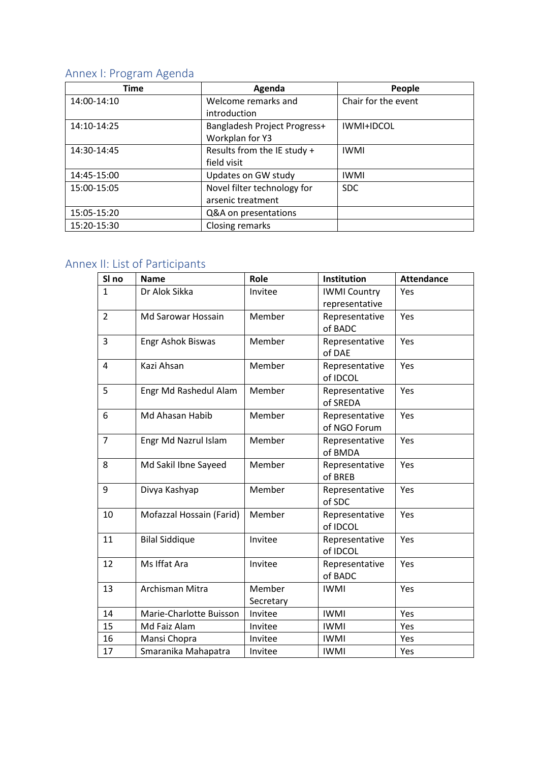# Annex I: Program Agenda

| <b>Time</b> | Agenda                       | People              |
|-------------|------------------------------|---------------------|
| 14:00-14:10 | Welcome remarks and          | Chair for the event |
|             | introduction                 |                     |
| 14:10-14:25 | Bangladesh Project Progress+ | IWMI+IDCOL          |
|             | Workplan for Y3              |                     |
| 14:30-14:45 | Results from the IE study +  | <b>IWMI</b>         |
|             | field visit                  |                     |
| 14:45-15:00 | Updates on GW study          | <b>IWMI</b>         |
| 15:00-15:05 | Novel filter technology for  | <b>SDC</b>          |
|             | arsenic treatment            |                     |
| 15:05-15:20 | Q&A on presentations         |                     |
| 15:20-15:30 | Closing remarks              |                     |

## Annex II: List of Participants

| SI <sub>no</sub> | <b>Name</b>              | Role                | Institution                           | <b>Attendance</b> |
|------------------|--------------------------|---------------------|---------------------------------------|-------------------|
| $\mathbf{1}$     | Dr Alok Sikka            | Invitee             | <b>IWMI Country</b><br>representative | Yes               |
| $\overline{2}$   | Md Sarowar Hossain       | Member              | Representative<br>of BADC             | Yes               |
| 3                | <b>Engr Ashok Biswas</b> | Member              | Representative<br>of DAE              | Yes               |
| 4                | Kazi Ahsan               | Member              | Representative<br>of IDCOL            | Yes               |
| 5                | Engr Md Rashedul Alam    | Member              | Representative<br>of SREDA            | Yes               |
| 6                | Md Ahasan Habib          | Member              | Representative<br>of NGO Forum        | Yes               |
| $\overline{7}$   | Engr Md Nazrul Islam     | Member              | Representative<br>of BMDA             | Yes               |
| 8                | Md Sakil Ibne Sayeed     | Member              | Representative<br>of BREB             | Yes               |
| 9                | Divya Kashyap            | Member              | Representative<br>of SDC              | Yes               |
| 10               | Mofazzal Hossain (Farid) | Member              | Representative<br>of IDCOL            | Yes               |
| 11               | <b>Bilal Siddique</b>    | Invitee             | Representative<br>of IDCOL            | Yes               |
| 12               | Ms Iffat Ara             | Invitee             | Representative<br>of BADC             | Yes               |
| 13               | Archisman Mitra          | Member<br>Secretary | <b>IWMI</b>                           | Yes               |
| 14               | Marie-Charlotte Buisson  | Invitee             | <b>IWMI</b>                           | Yes               |
| 15               | Md Faiz Alam             | Invitee             | <b>IWMI</b>                           | Yes               |
| 16               | Mansi Chopra             | Invitee             | <b>IWMI</b>                           | Yes               |
| 17               | Smaranika Mahapatra      | Invitee             | <b>IWMI</b>                           | Yes               |